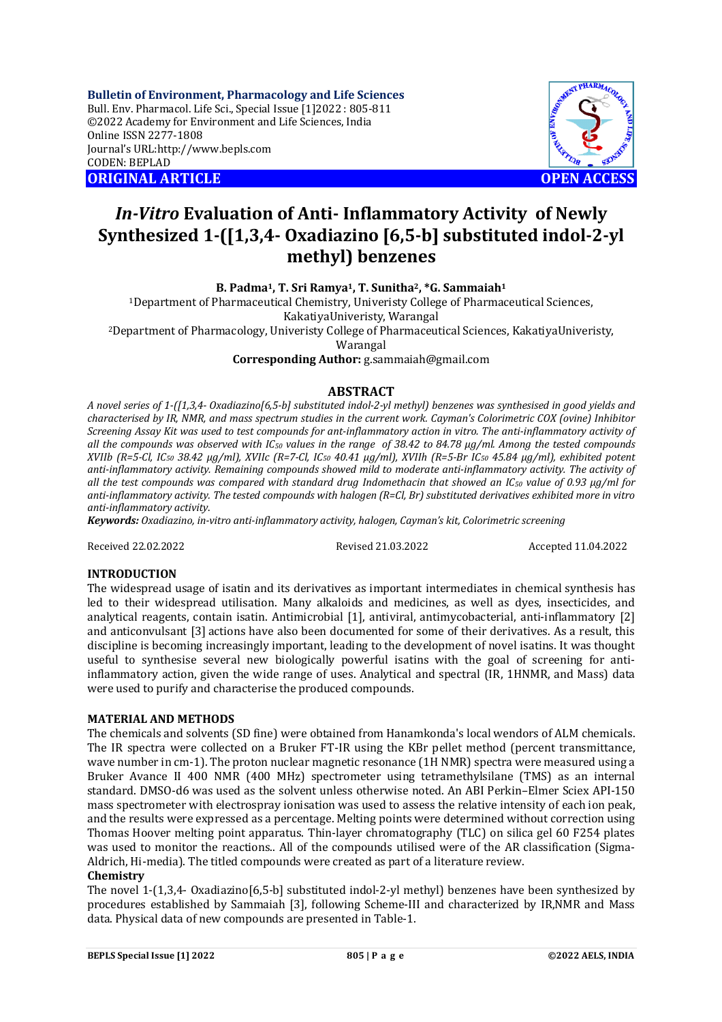**Bulletin of Environment, Pharmacology and Life Sciences** Bull. Env. Pharmacol. Life Sci., Special Issue [1]2022 : 805-811 ©2022 Academy for Environment and Life Sciences, India Online ISSN 2277-1808 Journal's URL:<http://www.bepls.com> CODEN: BEPLAD **ORIGINAL ARTICLE OPEN ACCESS** 



# *In-Vitro* **Evaluation of Anti- Inflammatory Activity of Newly Synthesized 1-([1,3,4- Oxadiazino [6,5-b] substituted indol-2-yl methyl) benzenes**

**B. Padma1, T. Sri Ramya1, T. Sunitha2, \*G. Sammaiah<sup>1</sup>**

<sup>1</sup>Department of Pharmaceutical Chemistry, Univeristy College of Pharmaceutical Sciences,

KakatiyaUniveristy, Warangal

<sup>2</sup>Department of Pharmacology, Univeristy College of Pharmaceutical Sciences, KakatiyaUniveristy,

Warangal

**Corresponding Author:** [g.sammaiah@gmail.com](mailto:g.sammaiah@gmail.com)

# **ABSTRACT**

*A novel series of 1-([1,3,4- Oxadiazino[6,5-b] substituted indol-2-yl methyl) benzenes was synthesised in good yields and characterised by IR, NMR, and mass spectrum studies in the current work. Cayman's Colorimetric COX (ovine) Inhibitor Screening Assay Kit was used to test compounds for ant-inflammatory action in vitro. The anti-inflammatory activity of all the compounds was observed with IC<sup>50</sup> values in the range of 38.42 to 84.78 μg/ml. Among the tested compounds XVIIb (R=5-Cl, IC<sup>50</sup> 38.42 μg/ml), XVIIc (R=7-Cl, IC<sup>50</sup> 40.41 μg/ml), XVIIh (R=5-Br IC<sup>50</sup> 45.84 μg/ml), exhibited potent anti-inflammatory activity. Remaining compounds showed mild to moderate anti-inflammatory activity. The activity of all the test compounds was compared with standard drug Indomethacin that showed an IC<sup>50</sup> value of 0.93 μg/ml for anti-inflammatory activity. The tested compounds with halogen (R=Cl, Br) substituted derivatives exhibited more in vitro anti-inflammatory activity*.

*Keywords: Oxadiazino, in-vitro anti-inflammatory activity, halogen, Cayman's kit, Colorimetric screening*

Received 22.02.2022 Revised 21.03.2022 Accepted 11.04.2022

## **INTRODUCTION**

The widespread usage of isatin and its derivatives as important intermediates in chemical synthesis has led to their widespread utilisation. Many alkaloids and medicines, as well as dyes, insecticides, and analytical reagents, contain isatin. Antimicrobial [1], antiviral, antimycobacterial, anti-inflammatory [2] and anticonvulsant [3] actions have also been documented for some of their derivatives. As a result, this discipline is becoming increasingly important, leading to the development of novel isatins. It was thought useful to synthesise several new biologically powerful isatins with the goal of screening for antiinflammatory action, given the wide range of uses. Analytical and spectral (IR, 1HNMR, and Mass) data were used to purify and characterise the produced compounds.

## **MATERIAL AND METHODS**

The chemicals and solvents (SD fine) were obtained from Hanamkonda's local wendors of ALM chemicals. The IR spectra were collected on a Bruker FT-IR using the KBr pellet method (percent transmittance, wave number in cm-1). The proton nuclear magnetic resonance (1H NMR) spectra were measured using a Bruker Avance II 400 NMR (400 MHz) spectrometer using tetramethylsilane (TMS) as an internal standard. DMSO-d6 was used as the solvent unless otherwise noted. An ABI Perkin–Elmer Sciex API-150 mass spectrometer with electrospray ionisation was used to assess the relative intensity of each ion peak, and the results were expressed as a percentage. Melting points were determined without correction using Thomas Hoover melting point apparatus. Thin-layer chromatography (TLC) on silica gel 60 F254 plates was used to monitor the reactions.. All of the compounds utilised were of the AR classification (Sigma-Aldrich, Hi-media). The titled compounds were created as part of a literature review.

## **Chemistry**

The novel 1-(1,3,4- Oxadiazino[6,5-b] substituted indol-2-yl methyl) benzenes have been synthesized by procedures established by Sammaiah [3], following Scheme-III and characterized by IR,NMR and Mass data. Physical data of new compounds are presented in Table-1.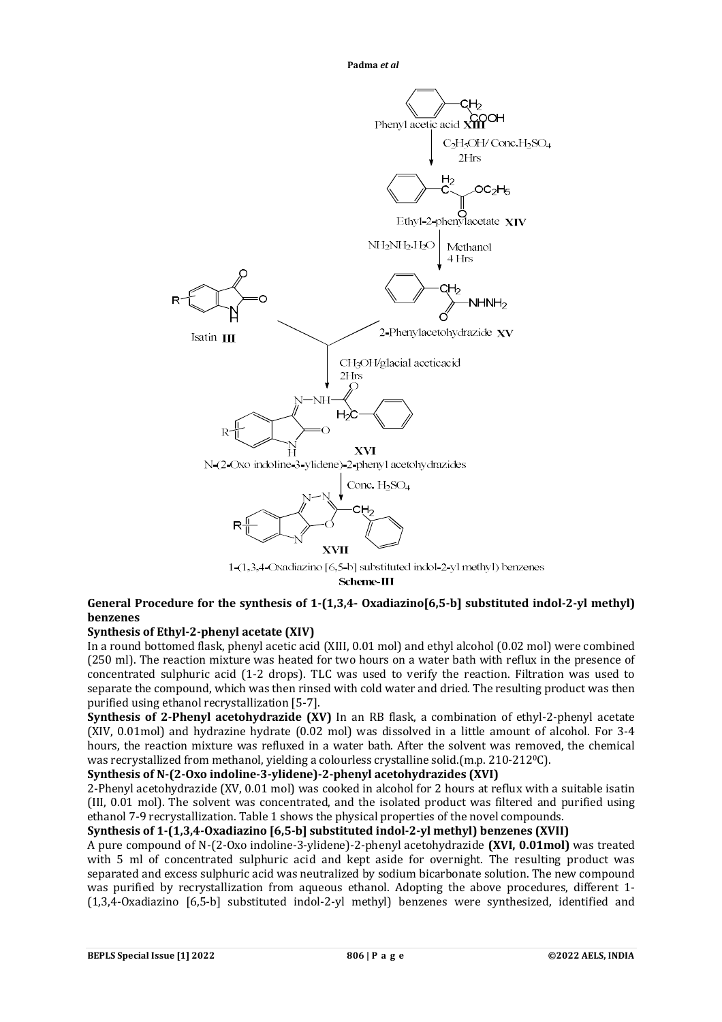

Scheme-III

# **General Procedure for the synthesis of 1-(1,3,4- Oxadiazino[6,5-b] substituted indol-2-yl methyl) benzenes**

# **Synthesis of Ethyl-2-phenyl acetate (XIV)**

In a round bottomed flask, phenyl acetic acid (XIII, 0.01 mol) and ethyl alcohol (0.02 mol) were combined (250 ml). The reaction mixture was heated for two hours on a water bath with reflux in the presence of concentrated sulphuric acid (1-2 drops). TLC was used to verify the reaction. Filtration was used to separate the compound, which was then rinsed with cold water and dried. The resulting product was then purified using ethanol recrystallization [5-7].

**Synthesis of 2-Phenyl acetohydrazide (XV)** In an RB flask, a combination of ethyl-2-phenyl acetate (XIV, 0.01mol) and hydrazine hydrate (0.02 mol) was dissolved in a little amount of alcohol. For 3-4 hours, the reaction mixture was refluxed in a water bath. After the solvent was removed, the chemical was recrystallized from methanol, yielding a colourless crystalline solid.(m.p. 210-2120C).

## **Synthesis of N-(2-Oxo indoline-3-ylidene)-2-phenyl acetohydrazides (XVI)**

2-Phenyl acetohydrazide (XV, 0.01 mol) was cooked in alcohol for 2 hours at reflux with a suitable isatin (III, 0.01 mol). The solvent was concentrated, and the isolated product was filtered and purified using ethanol 7-9 recrystallization. Table 1 shows the physical properties of the novel compounds.

# **Synthesis of 1-(1,3,4-Oxadiazino [6,5-b] substituted indol-2-yl methyl) benzenes (XVII)**

A pure compound of N-(2-Oxo indoline-3-ylidene)-2-phenyl acetohydrazide **(XVI, 0.01mol)** was treated with 5 ml of concentrated sulphuric acid and kept aside for overnight. The resulting product was separated and excess sulphuric acid was neutralized by sodium bicarbonate solution. The new compound was purified by recrystallization from aqueous ethanol. Adopting the above procedures, different 1- (1,3,4-Oxadiazino [6,5-b] substituted indol-2-yl methyl) benzenes were synthesized, identified and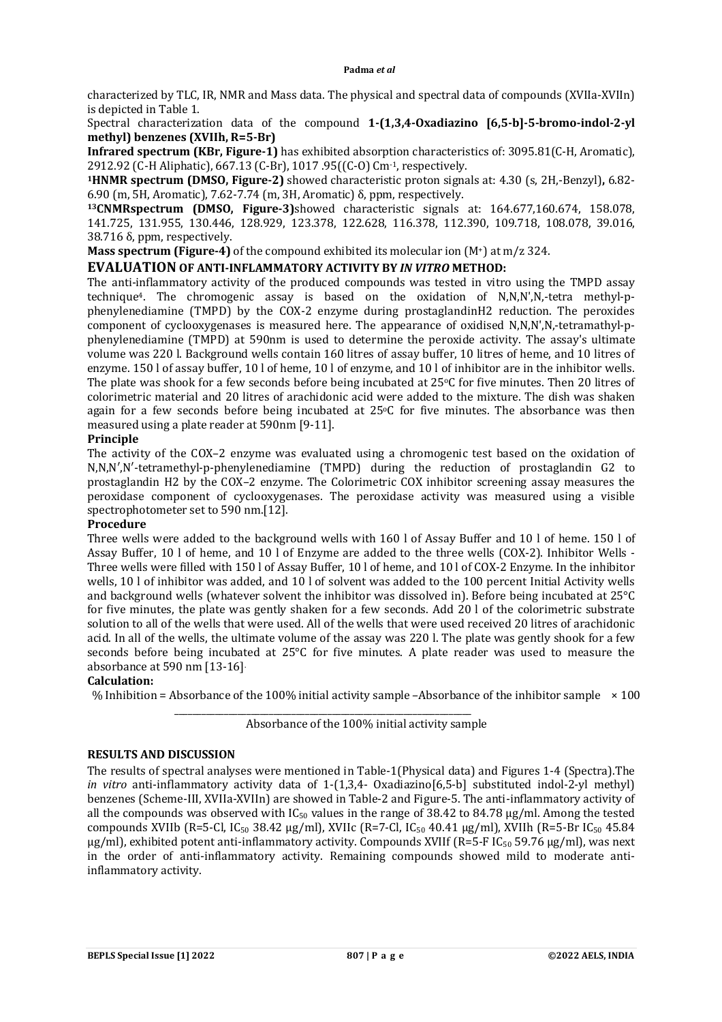characterized by TLC, IR, NMR and Mass data. The physical and spectral data of compounds (XVIIa-XVIIn) is depicted in Table 1.

Spectral characterization data of the compound **1-(1,3,4-Oxadiazino [6,5-b]-5-bromo-indol-2-yl methyl) benzenes (XVIIh, R=5-Br)**

**Infrared spectrum (KBr, Figure-1)** has exhibited absorption characteristics of: 3095.81(C-H, Aromatic), 2912.92 (C-H Aliphatic), 667.13 (C-Br), 1017 .95((C-O) Cm-1, respectively.

**<sup>1</sup>HNMR spectrum (DMSO, Figure-2)** showed characteristic proton signals at: 4.30 (s, 2H,-Benzyl)**,** 6.82- 6.90 (m, 5H, Aromatic), 7.62-7.74 (m, 3H, Aromatic) δ, ppm, respectively.

**<sup>13</sup>CNMRspectrum (DMSO, Figure-3)**showed characteristic signals at: 164.677,160.674, 158.078, 141.725, 131.955, 130.446, 128.929, 123.378, 122.628, 116.378, 112.390, 109.718, 108.078, 39.016, 38.716 δ, ppm, respectively.

**Mass spectrum (Figure-4)** of the compound exhibited its molecular ion (M<sup>+</sup>) at m/z 324.

## **EVALUATION OF ANTI-INFLAMMATORY ACTIVITY BY** *IN VITRO* **METHOD:**

The anti-inflammatory activity of the produced compounds was tested in vitro using the TMPD assay technique4. The chromogenic assay is based on the oxidation of N,N,N',N,-tetra methyl-pphenylenediamine (TMPD) by the COX-2 enzyme during prostaglandinH2 reduction. The peroxides component of cyclooxygenases is measured here. The appearance of oxidised N,N,N',N,-tetramathyl-pphenylenediamine (TMPD) at 590nm is used to determine the peroxide activity. The assay's ultimate volume was 220 l. Background wells contain 160 litres of assay buffer, 10 litres of heme, and 10 litres of enzyme. 150 l of assay buffer, 10 l of heme, 10 l of enzyme, and 10 l of inhibitor are in the inhibitor wells. The plate was shook for a few seconds before being incubated at 25 °C for five minutes. Then 20 litres of colorimetric material and 20 litres of arachidonic acid were added to the mixture. The dish was shaken again for a few seconds before being incubated at  $25^{\circ}$ C for five minutes. The absorbance was then measured using a plate reader at 590nm [9-11].

## **Principle**

The activity of the COX–2 enzyme was evaluated using a chromogenic test based on the oxidation of N,N,N′,N′-tetramethyl-p-phenylenediamine (TMPD) during the reduction of prostaglandin G2 to prostaglandin H2 by the COX–2 enzyme. The Colorimetric COX inhibitor screening assay measures the peroxidase component of cyclooxygenases. The peroxidase activity was measured using a visible spectrophotometer set to 590 nm.[12].

## **Procedure**

Three wells were added to the background wells with 160 l of Assay Buffer and 10 l of heme. 150 l of Assay Buffer, 10 l of heme, and 10 l of Enzyme are added to the three wells (COX-2). Inhibitor Wells - Three wells were filled with 150 l of Assay Buffer, 10 l of heme, and 10 l of COX-2 Enzyme. In the inhibitor wells, 10 l of inhibitor was added, and 10 l of solvent was added to the 100 percent Initial Activity wells and background wells (whatever solvent the inhibitor was dissolved in). Before being incubated at 25°C for five minutes, the plate was gently shaken for a few seconds. Add 20 l of the colorimetric substrate solution to all of the wells that were used. All of the wells that were used received 20 litres of arachidonic acid. In all of the wells, the ultimate volume of the assay was 220 l. The plate was gently shook for a few seconds before being incubated at 25°C for five minutes. A plate reader was used to measure the absorbance at 590 nm [13-16].

#### **Calculation:**

% Inhibition = Absorbance of the 100% initial activity sample –Absorbance of the inhibitor sample  $\times$  100

Absorbance of the 100% initial activity sample

\_\_\_\_\_\_\_\_\_\_\_\_\_\_\_\_\_\_\_\_\_\_\_\_\_\_\_\_\_\_\_\_\_\_\_\_\_\_\_\_\_\_\_\_\_\_\_\_\_\_\_\_\_\_\_\_\_\_\_\_\_\_\_\_\_\_

## **RESULTS AND DISCUSSION**

The results of spectral analyses were mentioned in Table-1(Physical data) and Figures 1-4 (Spectra).The *in vitro* anti-inflammatory activity data of 1-(1,3,4- Oxadiazino[6,5-b] substituted indol-2-yl methyl) benzenes (Scheme-III, XVIIa-XVIIn) are showed in Table-2 and Figure-5. The anti-inflammatory activity of all the compounds was observed with  $IC_{50}$  values in the range of 38.42 to 84.78  $\mu$ g/ml. Among the tested compounds XVIIb (R=5-Cl, IC<sub>50</sub> 38.42 µg/ml), XVIIc (R=7-Cl, IC<sub>50</sub> 40.41 µg/ml), XVIIh (R=5-Br IC<sub>50</sub> 45.84  $\mu$ g/ml), exhibited potent anti-inflammatory activity. Compounds XVIIf (R=5-F IC<sub>50</sub> 59.76  $\mu$ g/ml), was next in the order of anti-inflammatory activity. Remaining compounds showed mild to moderate antiinflammatory activity.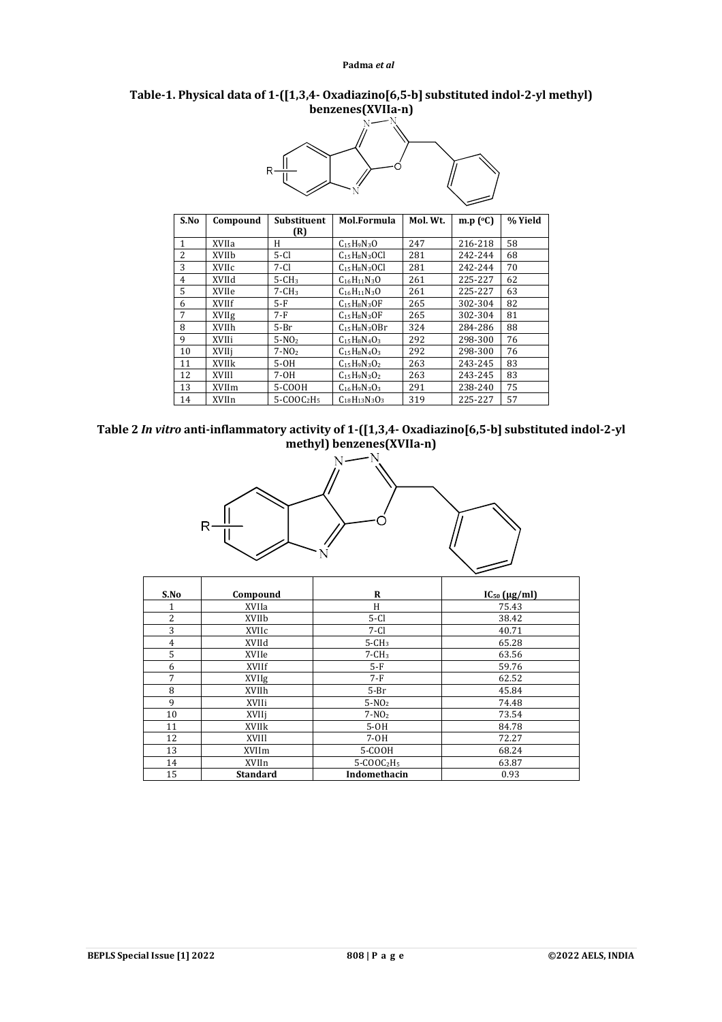## **Table-1. Physical data of 1-([1,3,4- Oxadiazino[6,5-b] substituted indol-2-yl methyl) benzenes(XVIIa-n)**



| S.No          | Compound     | <b>Substituent</b> | Mol.Formula              | Mol. Wt. | m.p $(°C)$ | % Yield |
|---------------|--------------|--------------------|--------------------------|----------|------------|---------|
|               |              | (R)                |                          |          |            |         |
| 1             | XVIIa        | H                  | $C_{15}H_9N_3O$          | 247      | 216-218    | 58      |
| $\mathcal{L}$ | XVIIb        | $5-Cl$             | $C_{15}H_8N_3OCl$        | 281      | 242-244    | 68      |
| 3             | XVIIc        | $7-Cl$             | $C15H8N3OCl$             | 281      | 242-244    | 70      |
| 4             | XVIId        | $5 - CH3$          | $C_{16}H_{11}N_{3}O$     | 261      | 225-227    | 62      |
| 5             | XVIIe        | $7 - CH3$          | $C_{16}H_{11}N_{3}O$     | 261      | 225-227    | 63      |
| 6             | XVIIf        | $5-F$              | $C_{15}H_8N_3OF$         | 265      | 302-304    | 82      |
| 7             | XVIIg        | $7-F$              | $C15H8N3OF$              | 265      | 302-304    | 81      |
| 8             | XVIIh        | $5-Br$             | $C_{15}H_8N_3OBr$        | 324      | 284-286    | 88      |
| 9             | XVIIi        | $5-NO2$            | $C15H8N4O3$              | 292      | 298-300    | 76      |
| 10            | XVIIi        | $7-NO2$            | $C15H8N4O3$              | 292      | 298-300    | 76      |
| 11            | <b>XVIIk</b> | $5-OH$             | $C15H9N3O2$              | 263      | 243-245    | 83      |
| 12            | XVIII        | 7-0H               | $C_{15}H_9N_3O_2$        | 263      | 243-245    | 83      |
| 13            | XVIIm        | 5-COOH             | $C_{16}H_9N_3O_3$        | 291      | 238-240    | 75      |
| 14            | XVIIn        | $5-COOC2H5$        | $C_{18}H_{13}N_{3}O_{3}$ | 319      | 225-227    | 57      |





| S.No           | Compound        | R            | $IC_{50}$ ( $\mu$ g/ml) |
|----------------|-----------------|--------------|-------------------------|
| 1              | XVIIa           | H            | 75.43                   |
| $\overline{2}$ | XVIIb           | $5-Cl$       | 38.42                   |
| 3              | XVIIc           | $7-Cl$       | 40.71                   |
| 4              | XVIId           | $5 - CH3$    | 65.28                   |
| 5              | XVIIe           | $7 - CH3$    | 63.56                   |
| 6              | XVIIf           | $5-F$        | 59.76                   |
| 7              | XVIIg           | $7-F$        | 62.52                   |
| 8              | XVIIh           | $5-Br$       | 45.84                   |
| 9              | XVIIi           | $5-NO2$      | 74.48                   |
| 10             | XVIIj           | $7-NO2$      | 73.54                   |
| 11             | <b>XVIIk</b>    | $5-OH$       | 84.78                   |
| 12             | XVIII           | $7-OH$       | 72.27                   |
| 13             | XVIIm           | 5-COOH       | 68.24                   |
| 14             | XVIIn           | $5-C00C2H5$  | 63.87                   |
| 15             | <b>Standard</b> | Indomethacin | 0.93                    |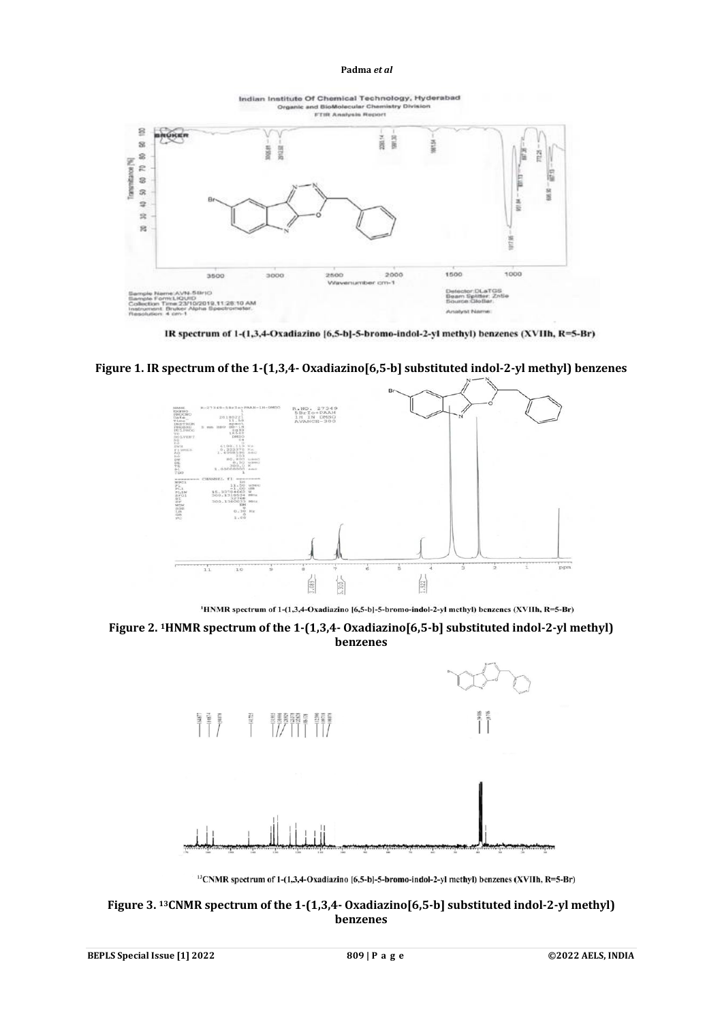Indian Institute Of Chemical Technology, Hyderabad Orga and BioMolecular Chemi<br>FTIR Analysis Report  $\Xi$ **OKE** ν 言言  $\overline{\mathbf{z}}$ MESA **INSIR** size ř G  $\mathbb{S}% _{n}^{2}\left| \mathcal{H}_{n}^{2}\right| =1$ Transmittance [%] 60 70 眉 **TEST** R 58.80 2 **M100**  $\frac{1}{2}$ g. 1500 1000 3500 3000 2500 2000 п., atgs:<br>er: Zelie 710/2019.11:28:10 AM жı

IR spectrum of 1-(1,3,4-Oxadiazino [6,5-b]-5-bromo-indol-2-yl methyl) benzenes (XVIIh, R=5-Br)

**Figure 1. IR spectrum of the 1-(1,3,4- Oxadiazino[6,5-b] substituted indol-2-yl methyl) benzenes**



<sup>1</sup>HNMR spectrum of 1-(1,3,4-Oxadiazino [6,5-b]-5-bromo-indol-2-yl methyl) benzenes (XVIIh, R=5-Br)





<sup>13</sup>CNMR spectrum of 1-(1,3,4-Oxadiazino [6,5-b]-5-bromo-indol-2-yl methyl) benzenes (XVIIh, R=5-Br)

**Figure 3. 13CNMR spectrum of the 1-(1,3,4- Oxadiazino[6,5-b] substituted indol-2-yl methyl) benzenes**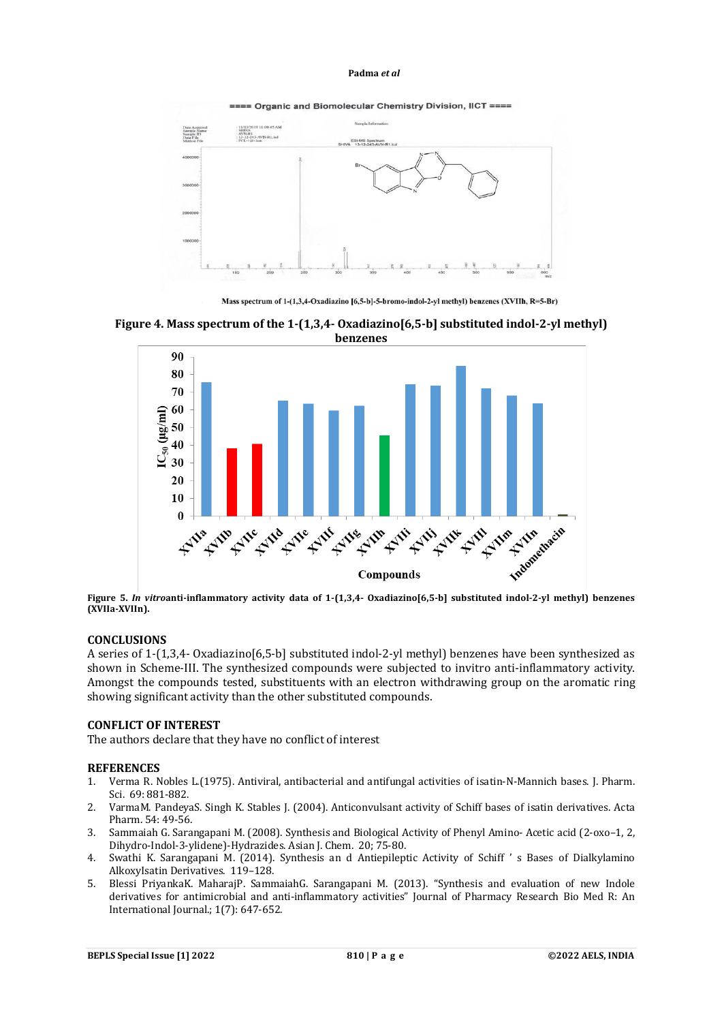

==== Organic and Biomolecular Chemistry Division, IICT ====

Mass spectrum of 1-(1,3,4-Oxadiazino [6,5-b]-5-bromo-indol-2-yl methyl) benzenes (XVIIh, R=5-Br)





**Figure 5.** *In vitro***anti-inflammatory activity data of 1-(1,3,4- Oxadiazino[6,5-b] substituted indol-2-yl methyl) benzenes (XVIIa-XVIIn).**

## **CONCLUSIONS**

A series of 1-(1,3,4- Oxadiazino[6,5-b] substituted indol-2-yl methyl) benzenes have been synthesized as shown in Scheme-III. The synthesized compounds were subjected to invitro anti-inflammatory activity. Amongst the compounds tested, substituents with an electron withdrawing group on the aromatic ring showing significant activity than the other substituted compounds.

## **CONFLICT OF INTEREST**

The authors declare that they have no conflict of interest

#### **REFERENCES**

- 1. Verma R. Nobles L.(1975). Antiviral, antibacterial and antifungal activities of isatin-N-Mannich bases. J. Pharm. Sci. 69: 881-882.
- 2. VarmaM. PandeyaS. Singh K. Stables J. (2004). Anticonvulsant activity of Schiff bases of isatin derivatives. Acta Pharm. 54: 49-56.
- 3. Sammaiah G. Sarangapani M. (2008). Synthesis and Biological Activity of Phenyl Amino- Acetic acid (2-oxo–1, 2, Dihydro-Indol-3-ylidene)-Hydrazides. Asian J. Chem. 20; 75-80.
- 4. Swathi K. Sarangapani M. (2014). Synthesis an d Antiepileptic Activity of Schiff ' s Bases of Dialkylamino AlkoxyIsatin Derivatives. 119–128.
- 5. Blessi PriyankaK. MaharajP. SammaiahG. Sarangapani M. (2013). "Synthesis and evaluation of new Indole derivatives for antimicrobial and anti-inflammatory activities" Journal of Pharmacy Research Bio Med R: An International Journal.; 1(7): 647-652.